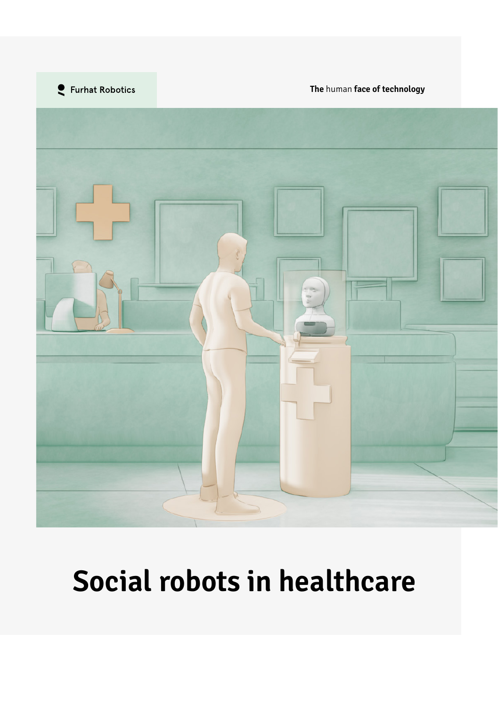

**The** human **face of technology**



# **Social robots in healthcare**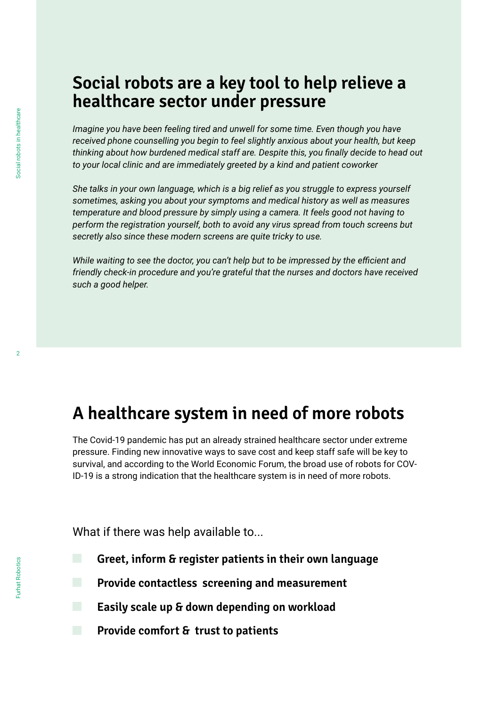#### **Social robots are a key tool to help relieve a healthcare sector under pressure**

*Imagine you have been feeling tired and unwell for some time. Even though you have received phone counselling you begin to feel slightly anxious about your health, but keep thinking about how burdened medical staff are. Despite this, you finally decide to head out to your local clinic and are immediately greeted by a kind and patient coworker*

*She talks in your own language, which is a big relief as you struggle to express yourself sometimes, asking you about your symptoms and medical history as well as measures temperature and blood pressure by simply using a camera. It feels good not having to perform the registration yourself, both to avoid any virus spread from touch screens but secretly also since these modern screens are quite tricky to use.*

*While waiting to see the doctor, you can't help but to be impressed by the efficient and friendly check-in procedure and you're grateful that the nurses and doctors have received such a good helper.* 

### **A healthcare system in need of more robots**

The Covid-19 pandemic has put an already strained healthcare sector under extreme pressure. Finding new innovative ways to save cost and keep staff safe will be key to survival, and according to the World Economic Forum, the broad use of robots for COV-ID-19 is a strong indication that the healthcare system is in need of more robots.

What if there was help available to...

- **Greet, inform & register patients in their own language**
- **Provide contactless screening and measurement**
	- **Easily scale up & down depending on workload**
- **Provide comfort & trust to patients**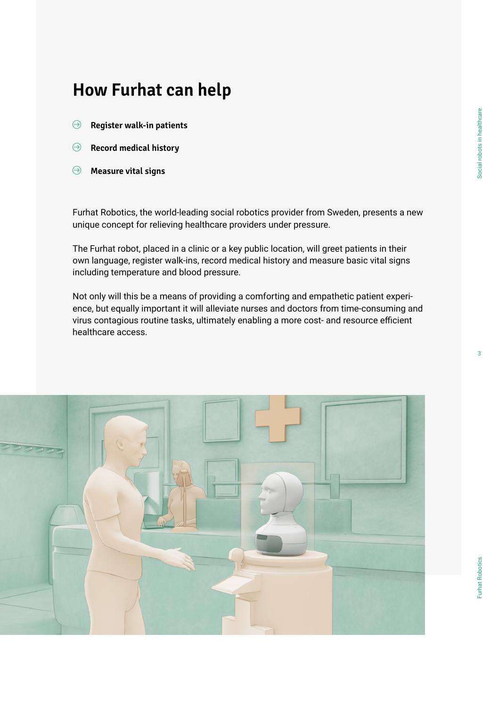## **How Furhat can help**

- **Register walk-in patients**
- **Record medical history**  $\Theta$
- **Measure vital signs**

Furhat Robotics, the world-leading social robotics provider from Sweden, presents a new unique concept for relieving healthcare providers under pressure.

The Furhat robot, placed in a clinic or a key public location, will greet patients in their own language, register walk-ins, record medical history and measure basic vital signs including temperature and blood pressure.

Not only will this be a means of providing a comforting and empathetic patient experience, but equally important it will alleviate nurses and doctors from time-consuming and virus contagious routine tasks, ultimately enabling a more cost- and resource efficient healthcare access.

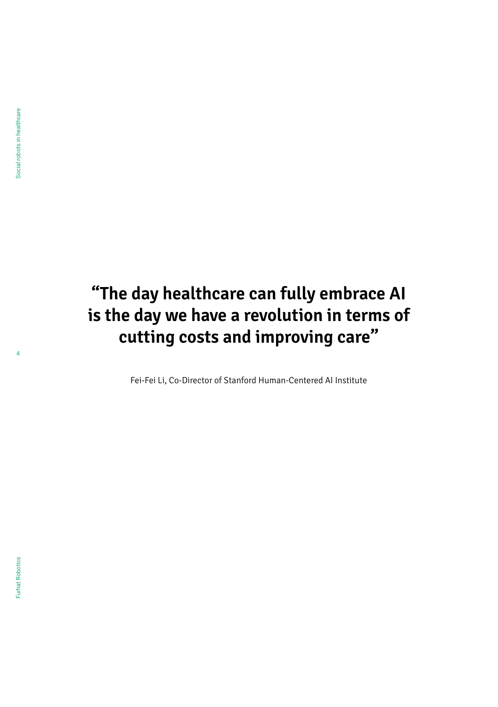4

# **"The day healthcare can fully embrace AI is the day we have a revolution in terms of cutting costs and improving care"**

Fei-Fei Li, Co-Director of Stanford Human-Centered AI Institute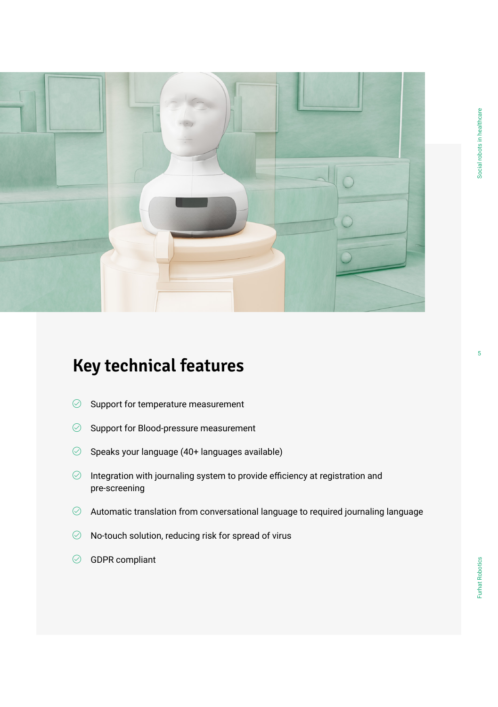

# **Key technical features**

- $\oslash$  Support for temperature measurement
- $\oslash$  Support for Blood-pressure measurement
- $\oslash$  Speaks your language (40+ languages available)
- $\oslash$  Integration with journaling system to provide efficiency at registration and pre-screening
- $\oslash$   $\;$  Automatic translation from conversational language to required journaling language
- $\oslash$  No-touch solution, reducing risk for spread of virus
- $\oslash$  GDPR compliant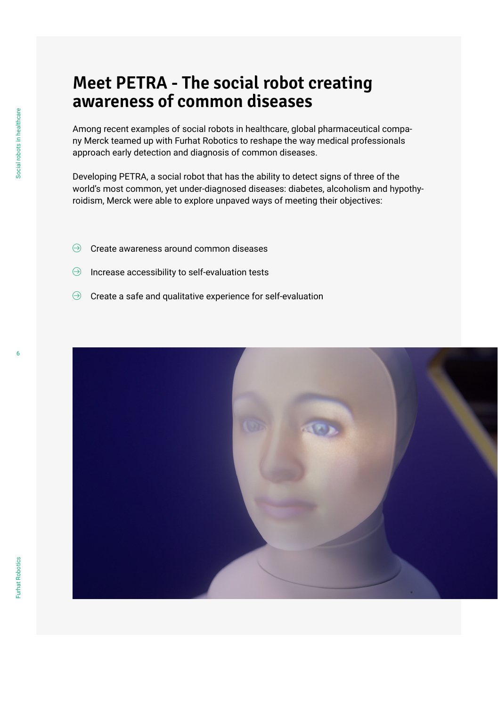#### **Meet PETRA - The social robot creating awareness of common diseases**

Among recent examples of social robots in healthcare, global pharmaceutical company Merck teamed up with Furhat Robotics to reshape the way medical professionals approach early detection and diagnosis of common diseases.

Developing PETRA, a social robot that has the ability to detect signs of three of the world's most common, yet under-diagnosed diseases: diabetes, alcoholism and hypothyroidism, Merck were able to explore unpaved ways of meeting their objectives:

- Create awareness around common diseases  $\Theta$
- Increase accessibility to self-evaluation tests  $\Theta$
- $\Theta$  Create a safe and qualitative experience for self-evaluation

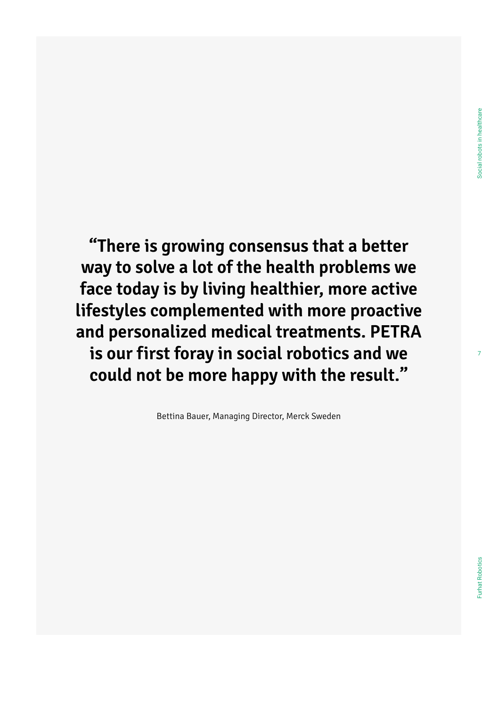7

**"There is growing consensus that a better way to solve a lot of the health problems we face today is by living healthier, more active lifestyles complemented with more proactive and personalized medical treatments. PETRA is our first foray in social robotics and we could not be more happy with the result."**

Bettina Bauer, Managing Director, Merck Sweden